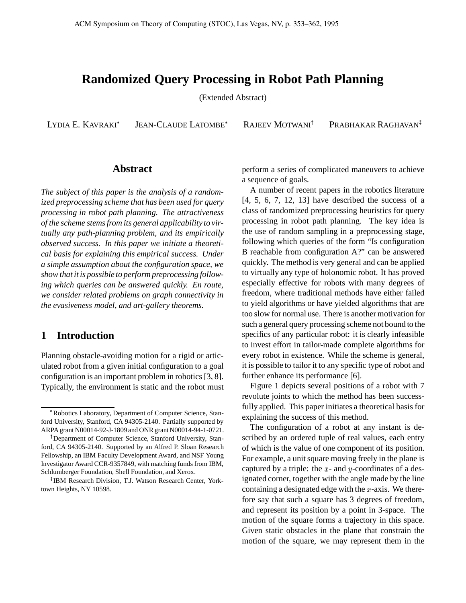## **Randomized Query Processing in Robot Path Planning**

(Extended Abstract)

LYDIA E. KAVRAKI

JEAN-CLAUDE LATOMBE

RAJEEV MOTWANI

PRABHAKAR RAGHAVAN<sup>‡</sup>

#### **Abstract**

*The subject of this paper is the analysis of a randomized preprocessing scheme that has been used for query processing in robot path planning. The attractiveness of the scheme stemsfrom its general applicability to virtually any path-planning problem, and its empirically observed success. In this paper we initiate a theoretical basis for explaining this empirical success. Under a simple assumption about the configuration space, we show that it is possible to perform preprocessing following which queries can be answered quickly. En route, we consider related problems on graph connectivity in the evasiveness model, and art-gallery theorems.*

### **1 Introduction**

Planning obstacle-avoiding motion for a rigid or articulated robot from a given initial configuration to a goal configuration is an important problem in robotics [3, 8]. Typically, the environment is static and the robot must perform a series of complicated maneuvers to achieve a sequence of goals.

A number of recent papers in the robotics literature [4, 5, 6, 7, 12, 13] have described the success of a class of randomized preprocessing heuristics for query processing in robot path planning. The key idea is the use of random sampling in a preprocessing stage, following which queries of the form "Is configuration B reachable from configuration A?" can be answered quickly. The method is very general and can be applied to virtually any type of holonomic robot. It has proved especially effective for robots with many degrees of freedom, where traditional methods have either failed to yield algorithms or have yielded algorithms that are too slow for normal use. There is another motivation for such a general query processing scheme not bound to the specifics of any particular robot: it is clearly infeasible to invest effort in tailor-made complete algorithms for every robot in existence. While the scheme is general, it is possible to tailor it to any specific type of robot and further enhance its performance [6].

Figure 1 depicts several positions of a robot with 7 revolute joints to which the method has been successfully applied. This paper initiates a theoretical basis for explaining the success of this method.

The configuration of a robot at any instant is described by an ordered tuple of real values, each entry of which is the value of one component of its position. For example, a unit square moving freely in the plane is captured by a triple: the  $x$ - and  $y$ -coordinates of a designated corner, together with the angle made by the line containing a designated edge with the  $x$ -axis. We therefore say that such a square has 3 degrees of freedom, and represent its position by a point in 3-space. The motion of the square forms a trajectory in this space. Given static obstacles in the plane that constrain the motion of the square, we may represent them in the

Robotics Laboratory, Department of Computer Science, Stanford University, Stanford, CA 94305-2140. Partially supported by ARPA grant N00014-92-J-1809 and ONRgrant N00014-94-1-0721.

<sup>&</sup>lt;sup>†</sup>Department of Computer Science, Stanford University, Stanford, CA 94305-2140. Supported by an Alfred P. Sloan Research Fellowship, an IBM Faculty Development Award, and NSF Young Investigator Award CCR-9357849, with matching funds from IBM, Schlumberger Foundation, Shell Foundation, and Xerox.

IBM Research Division, T.J. Watson Research Center, Yorktown Heights, NY 10598.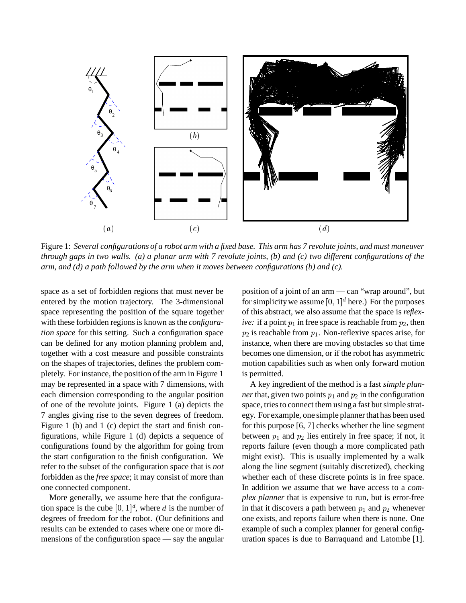

Figure 1: Several configurations of a robot arm with a fixed base. This arm has 7 revolute joints, and must maneuver through gaps in two walls. (a) a planar arm with 7 revolute joints, (b) and (c) two different configurations of the *arm, and (d) a path followed by the arm when it moves between configurations (b) and (c).*

space as a set of forbidden regions that must never be entered by the motion trajectory. The 3-dimensional space representing the position of the square together with these forbidden regions is known as the *configuration space* for this setting. Such a configuration space can be defined for any motion planning problem and, together with a cost measure and possible constraints on the shapes of trajectories, defines the problem completely. For instance, the position of the arm in Figure 1 may be represented in a space with 7 dimensions, with each dimension corresponding to the angular position of one of the revolute joints. Figure 1 (a) depicts the 7 angles giving rise to the seven degrees of freedom. Figure 1 (b) and 1 (c) depict the start and finish configurations, while Figure 1 (d) depicts a sequence of configurations found by the algorithm for going from the start configuration to the finish configuration. We refer to the subset of the configuration space that is *not* forbidden as the *free space*; it may consist of more than one connected component.

More generally, we assume here that the configuration space is the cube  $[0,1]^d$ , where d is the number of degrees of freedom for the robot. (Our definitions and results can be extended to cases where one or more dimensions of the configuration space — say the angular

position of a joint of an arm — can "wrap around", but for simplicity we assume  $[0, 1]^d$  here.) For the purposes of this abstract, we also assume that the space is *reflexive:* if a point  $p_1$  in free space is reachable from  $p_2$ , then  $p_2$  is reachable from  $p_1$ . Non-reflexive spaces arise, for instance, when there are moving obstacles so that time becomes one dimension, or if the robot has asymmetric motion capabilities such as when only forward motion is permitted.

A key ingredient of the method is a fast *simple planner* that, given two points  $p_1$  and  $p_2$  in the configuration space, tries to connect them using a fast but simple strategy. For example, one simple plannerthat has been used for this purpose [6, 7] checks whether the line segment between  $p_1$  and  $p_2$  lies entirely in free space; if not, it reports failure (even though a more complicated path might exist). This is usually implemented by a walk along the line segment (suitably discretized), checking whether each of these discrete points is in free space. In addition we assume that we have access to a *complex planner* that is expensive to run, but is error-free in that it discovers a path between  $p_1$  and  $p_2$  whenever one exists, and reports failure when there is none. One example of such a complex planner for general configuration spaces is due to Barraquand and Latombe [1].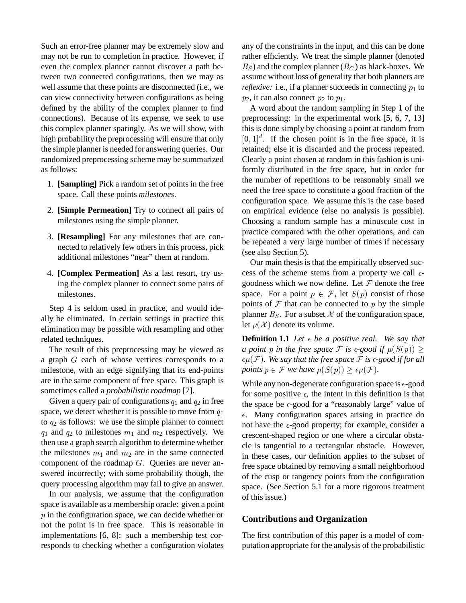Such an error-free planner may be extremely slow and may not be run to completion in practice. However, if even the complex planner cannot discover a path between two connected configurations, then we may as well assume that these points are disconnected (i.e., we can view connectivity between configurations as being defined by the ability of the complex planner to find connections). Because of its expense, we seek to use this complex planner sparingly. As we will show, with high probability the preprocessing will ensure that only the simple planner is needed for answering queries. Our randomized preprocessing scheme may be summarized as follows:

- 1. **[Sampling]** Pick a random set of points in the free space. Call these points *milestones*.
- 2. **[Simple Permeation]** Try to connect all pairs of milestones using the simple planner.
- 3. **[Resampling]** For any milestones that are connected to relatively few others in this process, pick additional milestones "near" them at random.
- 4. **[Complex Permeation]** As a last resort, try using the complex planner to connect some pairs of milestones.

Step 4 is seldom used in practice, and would ideally be eliminated. In certain settings in practice this elimination may be possible with resampling and other related techniques.

The result of this preprocessing may be viewed as a graph  $G$  each of whose vertices corresponds to a milestone, with an edge signifying that its end-points are in the same component of free space. This graph is sometimes called a *probabilistic roadmap* [7].

Given a query pair of configurations  $q_1$  and  $q_2$  in free space, we detect whether it is possible to move from  $q_1$ to  $q_2$  as follows: we use the simple planner to connect  $q_1$  and  $q_2$  to milestones  $m_1$  and  $m_2$  respectively. We then use a graph search algorithm to determine whether the milestones  $m_1$  and  $m_2$  are in the same connected component of the roadmap  $G$ . Queries are never answered incorrectly; with some probability though, the query processing algorithm may fail to give an answer.

In our analysis, we assume that the configuration space is available as a membership oracle: given a point  $p$  in the configuration space, we can decide whether or not the point is in free space. This is reasonable in implementations [6, 8]: such a membership test corresponds to checking whether a configuration violates any of the constraints in the input, and this can be done rather efficiently. We treat the simple planner (denoted  $B<sub>S</sub>$ ) and the complex planner ( $B<sub>C</sub>$ ) as black-boxes. We assume without loss of generality that both planners are *reflexive:* i.e., if a planner succeeds in connecting  $p_1$  to  $p_2$ , it can also connect  $p_2$  to  $p_1$ .

A word about the random sampling in Step 1 of the preprocessing: in the experimental work [5, 6, 7, 13] this is done simply by choosing a point at random from  $[0, 1]^d$ . If the chosen point is in the free space, it is retained; else it is discarded and the process repeated. Clearly a point chosen at random in this fashion is uniformly distributed in the free space, but in order for the number of repetitions to be reasonably small we need the free space to constitute a good fraction of the configuration space. We assume this is the case based on empirical evidence (else no analysis is possible). Choosing a random sample has a minuscule cost in practice compared with the other operations, and can be repeated a very large number of times if necessary (see also Section 5).

Our main thesis is that the empirically observed success of the scheme stems from a property we call  $\epsilon$ goodness which we now define. Let  $\mathcal F$  denote the free space. For a point  $p \in \mathcal{F}$ , let  $S(p)$  consist of those points of  $\mathcal F$  that can be connected to  $p$  by the simple planner  $B<sub>S</sub>$ . For a subset X of the configuration space, let  $\mu(\mathcal{X})$  denote . . *, .......* .... . ..... denote its volume.

**Definition 1.1** *Let*  $\epsilon$  *be a positive real.* We say that *a* point p in the free space  $\mathcal F$  is  $\epsilon$ -good if  $\mu(S(p)) \geq 0$  $S(p)$ ) >  $\epsilon\mu(\mathcal{F}).$  We say that the free space  $\mathcal F$  is  $\epsilon\text{-good}$  if for all *points*  $p \in \mathcal{F}$  we have  $\mu(S(p)) \geq \epsilon p$  $S(p)) \geq \epsilon \mu(\mathcal{F}).$ 

While any non-degenerate configuration space is  $\epsilon$ -good for some positive  $\epsilon$ , the intent in this definition is that the space be  $\epsilon$ -good for a "reasonably large" value of  $\epsilon$ . Many configuration spaces arising in practice do not have the  $\epsilon$ -good property; for example, consider a crescent-shaped region or one where a circular obstacle is tangential to a rectangular obstacle. However, in these cases, our definition applies to the subset of free space obtained by removing a small neighborhood of the cusp or tangency points from the configuration space. (See Section 5.1 for a more rigorous treatment of this issue.)

#### **Contributions and Organization**

The first contribution of this paper is a model of computation appropriate for the analysis of the probabilistic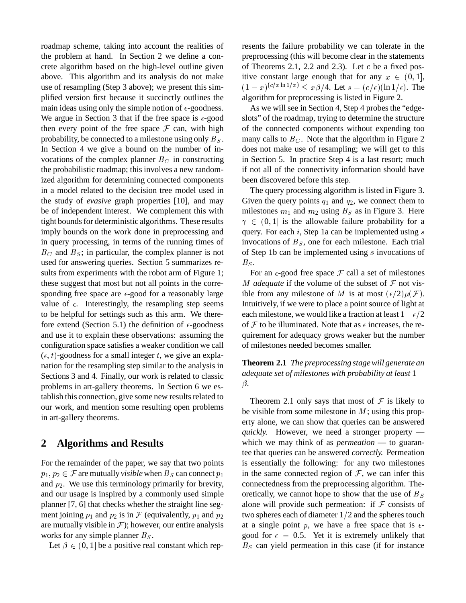roadmap scheme, taking into account the realities of the problem at hand. In Section 2 we define a concrete algorithm based on the high-level outline given above. This algorithm and its analysis do not make use of resampling (Step 3 above); we present this simplified version first because it succinctly outlines the main ideas using only the simple notion of  $\epsilon$ -goodness. We argue in Section 3 that if the free space is  $\epsilon$ -good then every point of the free space  $\mathcal F$  can, with high probability, be connected to a milestone using only  $B_s$ . mar In Section 4 we give a bound on the number of invocations of the complex planner  $B_C$  in constructing the probabilistic roadmap; this involves a new randomized algorithm for determining connected components in a model related to the decision tree model used in the study of *evasive* graph properties [10], and may be of independent interest. We complement this with tight bounds for deterministic algorithms. These results imply bounds on the work done in preprocessing and in query processing, in terms of the running times of  $B<sub>C</sub>$  and  $B<sub>S</sub>$ ; in particular, the complex planner is not used for answering queries. Section 5 summarizes results from experiments with the robot arm of Figure 1; these suggest that most but not all points in the corresponding free space are  $\epsilon$ -good for a reasonably large value of  $\epsilon$ . Interestingly, the resampling step seems to be helpful for settings such as this arm. We therefore extend (Section 5.1) the definition of  $\epsilon$ -goodness and use it to explain these observations: assuming the configuration space satisfies a weaker condition we call  $(\epsilon, t)$ -goodness for a small integer t, we give an explanation for the resampling step similar to the analysis in Sections 3 and 4. Finally, our work is related to classic problems in art-gallery theorems. In Section 6 we establish this connection, give some new results related to our work, and mention some resulting open problems in art-gallery theorems.

## **2 Algorithms and Results**

For the remainder of the paper, we say that two points  $p_1, p_2 \in \mathcal{F}$  are mutually *visible* when  $B_S$  can connect  $p_1$ and  $p_2$ . We use this terminology primarily for brevity, and our usage is inspired by a commonly used simple planner [7, 6] that checks whether the straight line segment joining  $p_1$  and  $p_2$  is in  $\mathcal F$  (equivalently,  $p_1$  and  $p_2$ are mutually visible in  $\mathcal{F}$ ); however, our entire analysis works for any simple planner  $B_s$ .

Let  $\beta \in (0,1]$  be a  $(0, 1]$  be a positive real constant which represents the failure probability we can tolerate in the preprocessing (this will become clear in the statements of Theorems 2.1, 2.2 and 2.3). Let  $c$  be a fixed positive constant large enough that for any  $x \in (0,1]$ ,  $(1-x)^{(c/x \ln 1/x)}$  $\int_{0}^{(c/x \ln 1/x)} \leq x\beta/4$ . Let  $s = (c/\epsilon)(\ln 1/\epsilon)$ . The algorithm for preprocessing is listed in Figure 2.

As we will see in Section 4, Step 4 probes the "edgeslots" of the roadmap, trying to determine the structure of the connected components without expending too many calls to  $B_C$ . Note that the algorithm in Figure 2 does not make use of resampling; we will get to this in Section 5. In practice Step 4 is a last resort; much if not all of the connectivity information should have been discovered before this step.

The query processing algorithm is listed in Figure 3. Given the query points  $q_1$  and  $q_2$ , we connect them to milestones  $m_1$  and  $m_2$  using  $B_S$  as in Figure 3. Here  $\gamma$   $\in$   $\{0, 1\}$  1S  $(0, 1]$  is the allowable failure probability for a query. For each  $i$ , Step 1a can be implemented using  $s$ invocations of  $B<sub>S</sub>$ , one for each milestone. Each trial of Step 1b can be implemented using  $s$  invocations of  $B_S$ .

For an  $\epsilon$ -good free space  $\mathcal F$  call a set of milestones *M* adequate if the volume of the subset of  $\mathcal F$  not visible from any milestone of M is at most  $(\epsilon/2)\mu(\mathcal{F})$ . Intuitively, if we were to place a point source of light at each milestone, we would like a fraction at least  $1 - \epsilon/2$ of  $\mathcal F$  to be illuminated. Note that as  $\epsilon$  increases, the requirement for adequacy grows weaker but the number of milestones needed becomes smaller.

**Theorem 2.1** *The preprocessing stagewill generate an adequate set of milestones with probability at least* 1 -*.*

Theorem 2.1 only says that most of  $\mathcal F$  is likely to be visible from some milestone in  $M$ ; using this property alone, we can show that queries can be answered *quickly.* However, we need a stronger property which we may think of as *permeation* — to guarantee that queries can be answered *correctly.* Permeation is essentially the following: for any two milestones in the same connected region of  $F$ , we can infer this connectedness from the preprocessing algorithm. Theoretically, we cannot hope to show that the use of  $B_s$ alone will provide such permeation: if  $\mathcal F$  consists of two spheres each of diameter  $1/2$  and the spheres touch at a single point p, we have a free space that is  $\epsilon$ good for  $\epsilon = 0.5$ . Yet it is extremely unlikely that  $B<sub>S</sub>$  can yield permeation in this case (if for instance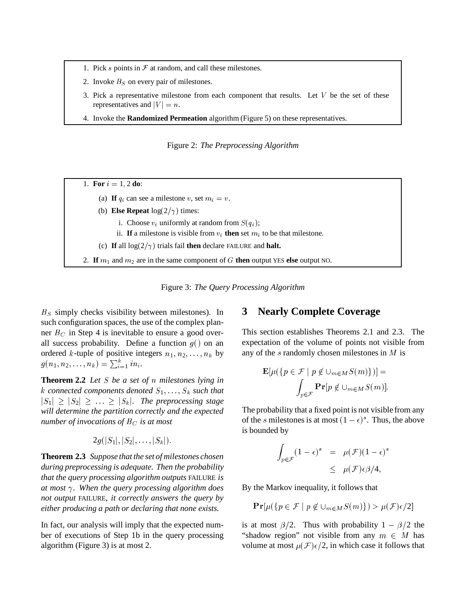- 1. Pick  $s$  points in  $\mathcal F$  at random, and call these milestones.
- 2. Invoke  $B<sub>S</sub>$  on every pair of milestones.
- 3. Pick a representative milestone from each component that results. Let  $V$  be the set of these representatives and  $|V| = n$ .
- 4. Invoke the **Randomized Permeation** algorithm (Figure 5) on these representatives.

Figure 2: *The Preprocessing Algorithm*

- 1. **For**  $i = 1, 2$  **do**:
	- (a) If  $q_i$  can see a milestone v, set  $m_i = v$ .
	- (b) **Else Repeat**  $log(2/\gamma)$  times:
		- i. Choose  $v_i$  uniformly at random from  $S(q_i)$ ;
		- ii. If a milestone is visible from  $v_i$  then set  $m_i$  to be that milestone.
	- (c) If all  $\log(2/\gamma)$  trials fail then declare FAILURE and halt.

2. **If**  $m_1$  and  $m_2$  are in the same component of G **then** output YES **else** output NO.

Figure 3: *The Query Processing Algorithm*

 $B<sub>S</sub>$  simply checks visibility between milestones). In such configuration spaces, the use of the complex planner  $B<sub>C</sub>$  in Step 4 is inevitable to ensure a good overall success probability. Define a function  $g()$  on an ordered k-tuple of positive integers  $n_1, n_2, \ldots, n_k$  by !  $(n_1, n_2, \ldots, n_k) = \sum_{i=1}^k i n_i.$ 

**Theorem 2.2** *Let*  $S$  *be*  $a$  *set of*  $n$  *milestones lying in* k connected components denoted  $S_1, \ldots, S_k$  such that  $|S_1| \geq |S_2| \geq \ldots \geq |S_k|$ . The preprocessing stage *will determine the partition correctly and the expected number of invocations of*  $B<sub>C</sub>$  *is at most* 

$$
2g(|S_1|,|S_2|,\ldots,|S_k|).
$$

**Theorem 2.3** *Suppose that the set of milestones chosen during preprocessing is adequate. Then the probability that the query processing algorithm outputs* FAILURE *is at most . When the query processing algorithm does not output* FAILURE*, it correctly answers the query by either producing a path or declaring that none exists.*

In fact, our analysis will imply that the expected number of executions of Step 1b in the query processing algorithm (Figure 3) is at most 2.

# **3 Nearly Complete Coverage**

This section establishes Theorems 2.1 and 2.3. The expectation of the volume of points not visible from any of the  $s$  randomly chosen milestones in  $M$  is

$$
\mathbf{E}[\mu({p \in \mathcal{F} \mid p \notin \cup_{m \in M} S(m)})] =
$$

$$
\int_{p \in \mathcal{F}} \mathbf{Pr}[p \notin \cup_{m \in M} S(m)].
$$

The probability that a fixed point is not visible from any of the *s* milestones is at most  $(1 - \epsilon)^s$ . Thus, the  $)^s$ . Thus, the above is bounded by

$$
\int_{p \in \mathcal{F}} (1 - \epsilon)^s = \mu(\mathcal{F})(1 - \epsilon)^s
$$
  

$$
\leq \mu(\mathcal{F}) \epsilon \beta / 4,
$$

By the Markov inequality, it follows that

$$
\mathbf{Pr}[\mu({p \in \mathcal{F} \mid p \notin \cup_{m \in M} S(m)} ) > \mu(\mathcal{F})\epsilon/2]
$$

is at most  $\beta/2$ . Thus with probability  $1 - \beta/2$  the "shadow region" not visible from any  $m \in M$  has volume at most  $\mu(\mathcal{F})\epsilon/2$ , in which case it follows that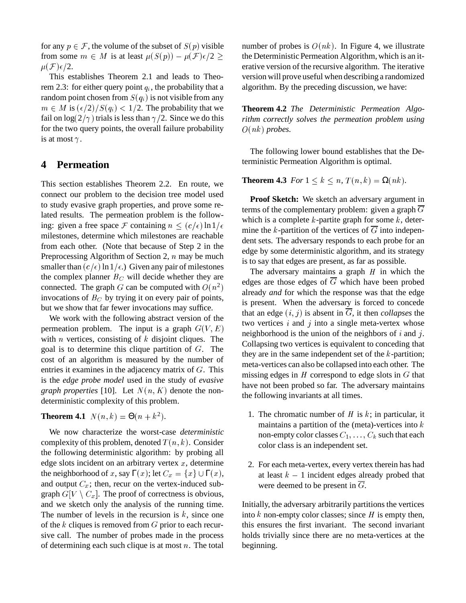for any  $p \in \mathcal{F}$ , the volume of the subset of  $S(p)$  visible from some  $m \in M$  is at least  $\mu(S(p)) - \mu$  $S(p)) - \mu(\mathcal{F})\epsilon$  $-\mu(\mathcal{F})\epsilon/2$  the D  $\mu(\mathcal{F})\epsilon/2$ .

This establishes Theorem 2.1 and leads to Theorem 2.3: for either query point  $q_i$ , the probability that a random point chosen from  $S(q_i)$  is not vi  $q_i$ ) is not visible from any  $m \in M$  is  $({\epsilon}/{2})/S(q_i) < 1/2$ .  $q_i$ ) < 1/2. The probability that we fail on  $log(2/\gamma)$  trials is less than  $\gamma/2$ . Since we do this for the two query points, the overall failure probability is at most  $\gamma$ .

## **4 Permeation**

This section establishes Theorem 2.2. En route, we connect our problem to the decision tree model used to study evasive graph properties, and prove some related results. The permeation problem is the following: given a free space F containing  $n \le (c/\epsilon) \ln 1/\epsilon$ milestones, determine which milestones are reachable from each other. (Note that because of Step 2 in the Preprocessing Algorithm of Section 2,  $n$  may be much smaller than  $(c/\epsilon)$  ln  $1/\epsilon$ .) Given any pair of milestones the complex planner  $B_C$  will decide whether they are connected. The graph G can be computed with  $O(n^2)$ invocations of  $B_C$  by trying it on every pair of points, but we show that far fewer invocations may suffice.

We work with the following abstract version of the permeation problem. The input is a graph  $G(V, E)$ with  $n$  vertices, consisting of  $k$  disjoint cliques. The goal is to determine this clique partition of G. The  $\frac{1}{100}$ cost of an algorithm is measured by the number of entries it examines in the adjacency matrix of  $G$ . This  $\frac{m}{m}$ is the *edge probe model* used in the study of *evasive graph properties* [10]. Let  $N(n, K)$  denote the nondeterministic complexity of this problem.

**Theorem 4.1**  $N(n,k) = \Theta(n+k^2)$ .

We now characterize the worst-case *deterministic* complexity of this problem, denoted  $T(n, k)$ . Conside  $(n, k)$ . Consider the following deterministic algorithm: by probing all edge slots incident on an arbitrary vertex  $x$ , determine the neighborhood of x, say  $\Gamma(x)$ ; let  $C_x = \{x\} \cup \Gamma(x)$ , . . . . . .  $\} \cup \Gamma(x),$ and output  $C_x$ ; then, recur on the vertex-induced subgraph  $G[V \setminus C_x]$ . The proof of correctness is obvious, and we sketch only the analysis of the running time. The number of levels in the recursion is  $k$ , since one of the  $k$  cliques is removed from  $G$  prior to each recursive call. The number of probes made in the process of determining each such clique is at most  $n$ . The total

 $\epsilon/2 \geq$  the Deterministic Permeation Algorithm, which is an itnumber of probes is  $O(nk)$ . In Figure 4, we illustrate erative version of the recursive algorithm. The iterative version will prove useful when describing a randomized algorithm. By the preceding discussion, we have:

> **Theorem 4.2** *The Deterministic Permeation Algorithm correctly solves the permeation problem using* <u>. . . . . . . . . . . . .</u>  $(nk)$  probes.

> The following lower bound establishes that the Deterministic Permeation Algorithm is optimal.

**Theorem 4.3** *For*  $1 \leq k \leq n$ ,  $T(n, k) = \Omega(nk)$  $(n, k) = \Omega(nk).$ 

**Proof Sketch:** We sketch an adversary argument in terms of the complementary problem: given a graph  $\overline{G}$ which is a complete  $k$ -partite graph for some  $k$ , determine the k-partition of the vertices of  $\overline{G}$  into independent sets. The adversary responds to each probe for an edge by some deterministic algorithm, and its strategy is to say that edges are present, as far as possible.

two vertices *i* and *j* into a single meta-vertex whose The adversary maintains a graph  $H$  in which the edges are those edges of  $\overline{G}$  which have been probed already *and* for which the response was that the edge is present. When the adversary is forced to concede that an edge  $(i, j)$  is absent in  $\overline{G}$ , it then *collapses* the neighborhood is the union of the neighbors of  $i$  and  $j$ . Collapsing two vertices is equivalent to conceding that they are in the same independent set of the  $k$ -partition; meta-vertices can also be collapsed into each other. The missing edges in  $H$  correspond to edge slots in  $G$  that have not been probed so far. The adversary maintains the following invariants at all times.

- 1. The chromatic number of  $H$  is  $k$ ; in particular, it maintains a partition of the (meta)-vertices into  $k$ non-empty color classes  $C_1, \ldots, C_k$  such that each color class is an independent set.
- 2. For each meta-vertex, every vertex therein has had at least  $k - 1$  incident edges already probed that were deemed to be present in  $\overline{G}$ .

Initially, the adversary arbitrarily partitions the vertices into  $k$  non-empty color classes; since  $H$  is empty then, this ensures the first invariant. The second invariant holds trivially since there are no meta-vertices at the beginning.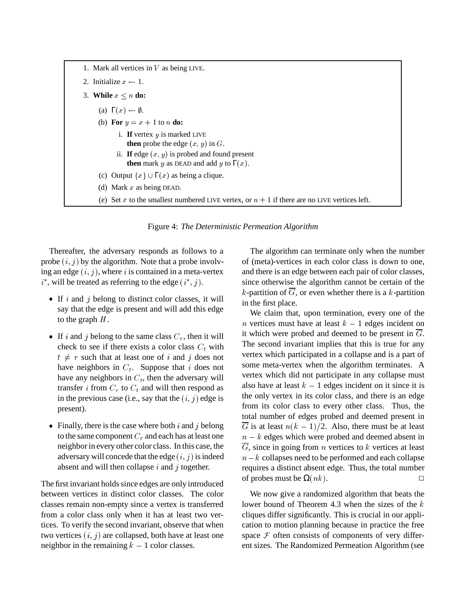

Figure 4: *The Deterministic Permeation Algorithm*

Thereafter, the adversary responds as follows to a probe  $(i, j)$  by the algorithm. Note that a probe involving an edge  $(i, j)$ , where i is contained in a meta-vertex  $i^*$ , will be treated as referring to the edge  $(i^*, j)$ .

- If i and j belong to distinct color classes, it will say that the edge is present and will add this edge to the graph  $H$ .
- If i and j belong to the same class  $C_r$ , then it will check to see if there exists a color class  $C_t$  with  $t \neq r$  such that at least one of *i* and *j* does not have neighbors in  $C_t$ . Suppose that *i* does not have any neighbors in  $C_t$ , then the adversary will transfer *i* from  $C_r$  to  $C_t$  and will then respond as in the previous case (i.e., say that the  $(i, j)$  edge is present).
- Finally, there is the case where both  $i$  and  $j$  belong to the same component  $C_r$  and each has at least one neighborin every other color class. In this case, the adversary will concede that the edge  $(i, j)$  is indeed absent and will then collapse  $i$  and  $j$  together.

The first invariant holds since edges are only introduced between vertices in distinct color classes. The color classes remain non-empty since a vertex is transferred from a color class only when it has at least two vertices. To verify the second invariant, observe that when two vertices  $(i, j)$  are collapsed, both have at least one neighbor in the remaining  $k - 1$  color classes.

The algorithm can terminate only when the number of (meta)-vertices in each color class is down to one, and there is an edge between each pair of color classes, since otherwise the algorithm cannot be certain of the k-partition of  $\overline{G}$ , or even whether there is a k-partition in the first place.

We claim that, upon termination, every one of the *n* vertices must have at least  $k - 1$  edges incident on it which were probed and deemed to be present in  $\overline{G}$ . The second invariant implies that this is true for any vertex which participated in a collapse and is a part of some meta-vertex when the algorithm terminates. A vertex which did not participate in any collapse must also have at least  $k - 1$  edges incident on it since it is the only vertex in its color class, and there is an edge from its color class to every other class. Thus, the total number of edges probed and deemed present in  $\overline{G}$  is at least  $n(k-1)/2$ .  $(k-1)/2$ . Also, there must be at least  $n - k$  edges which were probed and deemed absent in  $G$ , since in going from  $n$  vertices to  $k$  vertices at least  $n - k$  collapses need to be performed and each collapse requires a distinct absent edge. Thus, the total number of probes must be  $\Omega(nk)$ . . – Витория в Петрович, актор и село в Петрович, актор и село в Петрович, актор и село в Петрович<br>Село в Петрович, актор и село в Петрович, актор и село в Петрович, актор и село в Петрович, актор и село в Пет

We now give a randomized algorithm that beats the lower bound of Theorem 4.3 when the sizes of the  $k$ cliques differ significantly. This is crucial in our application to motion planning because in practice the free space  $F$  often consists of components of very different sizes. The Randomized Permeation Algorithm (see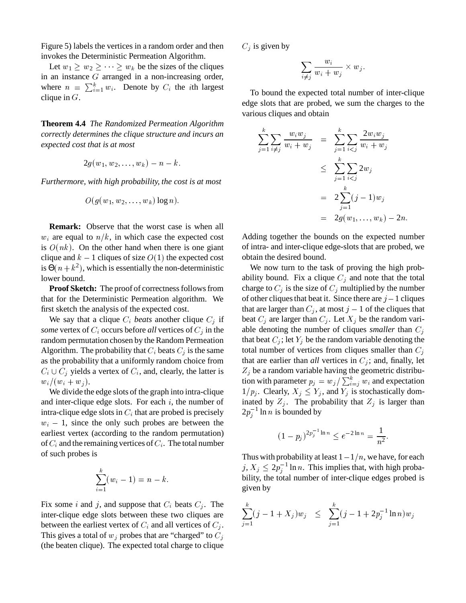Figure 5) labels the vertices in a random order and then invokes the Deterministic Permeation Algorithm.

Let  $w_1 \geq w_2 \geq \cdots \geq w_k$  be the sizes of the cliques in an instance  $G$  arranged in a non-increasing order, where  $n = \sum_{i=1}^{k} w_i$ . Denote by  $C_i$  the *i*th largest clique in  $G$ .

**Theorem 4.4** *The Randomized Permeation Algorithm correctly determines the clique structure and incurs an expected cost that is at most*

$$
2g(w_1,w_2,\ldots,w_k)-n-k.
$$

*Furthermore, with high probability, the cost is at most*

$$
O(g(w_1,w_2,\dots,w_k)\log n).
$$

**Remark:** Observe that the worst case is when all  $w_i$  are equal to  $n/k$ , in which case the expected cost is  $O(nk)$ . On the other hand when there is one giant clique and  $k-1$  cliques of size  $O(1)$  the expected cost is  $\Theta(n+k^2)$ , which is essentially the non-deterministic lower bound.

Proof Sketch: The proof of correctness follows from that for the Deterministic Permeation algorithm. We first sketch the analysis of the expected cost.

We say that a clique  $C_i$  beats another clique  $C_j$  if *some* vertex of  $C_i$  occurs before *all* vertices of  $C_j$  in the random permutation chosen by the Random Permeation Algorithm. The probability that  $C_i$  beats  $C_j$  is the same as the probability that a uniformly random choice from  $C_i \cup C_j$  yields a vertex of  $C_i$ , and, clearly, the latter is  $w_i \wedge w_i + u$  $(w_i + w_j).$ .

We divide the edge slots of the graph into intra-clique and inter-clique edge slots. For each  $i$ , the number of intra-clique edge slots in  $C_i$  that are probed is precisely  $w_i - 1$ , since the only such probes are between the earliest vertex (according to the random permutation) of  $C_i$  and the remaining vertices of  $C_i$ . The total number of such probes is

$$
\sum_{i=1}^{k} (w_i - 1) = n - k.
$$

Fix some *i* and *j*, and suppose that  $C_i$  beats  $C_j$ . The inter-clique edge slots between these two cliques are between the earliest vertex of  $C_i$  and all vertices of  $C_j$ . This gives a total of  $w_j$  probes that are "charged" to  $C_j$ (the beaten clique). The expected total charge to clique

 $C_i$  is given by

$$
\sum_{i\neq j}\frac{w_i}{w_i+w_j}\times w_j.
$$

To bound the expected total number of inter-clique edge slots that are probed, we sum the charges to the various cliques and obtain

$$
\sum_{j=1}^{k} \sum_{i \neq j} \frac{w_i w_j}{w_i + w_j} = \sum_{j=1}^{k} \sum_{i < j} \frac{2w_i w_j}{w_i + w_j} \\
\leq \sum_{j=1}^{k} \sum_{i < j} 2w_j \\
= 2 \sum_{j=1}^{k} (j-1)w_j \\
= 2g(w_1, \dots, w_k) - 2n.
$$

Adding together the bounds on the expected number of intra- and inter-clique edge-slots that are probed, we obtain the desired bound.

We now turn to the task of proving the high probability bound. Fix a clique  $C_i$  and note that the total charge to  $C_j$  is the size of  $C_j$  multiplied by the number of other cliques that beat it. Since there are  $j-1$  cliques that are larger than  $C_j$ , at most  $j-1$  of the cliques that beat  $C_j$  are larger than  $C_j$ . Let  $X_j$  be the random variable denoting the number of cliques *smaller* than  $C_i$ that beat  $C_j$ ; let  $Y_j$  be the random variable denoting the total number of vertices from cliques smaller than  $C_i$ that are earlier than *all* vertices in  $C_j$ ; and, finally, let  $Z_i$  be a random variable having the geometric distribution with parameter  $p_i = w_i / \sum_{i=1}^k w_i$  and expectation  $1/p_j$ . Clearly,  $X_j \leq Y_j$ , and  $Y_j$  is stochastically dominated by  $Z_i$ . The probability that  $Z_i$  is larger than  $2p_i^{-1}$  ln n is bounded by

$$
(1 - p_j)^{2p_j^{-1} \ln n} \le e^{-2 \ln n} = \frac{1}{n^2}.
$$

Thus with probability at least  $1 - 1/n$ , we have, for each  $j, X_j \leq 2p_i^{-1} \ln n$ . This implies that, with high probability, the total number of inter-clique edges probed is given by

$$
\sum_{j=1}^{k} (j-1+X_j) w_j \leq \sum_{j=1}^{k} (j-1+2p_j^{-1} \ln n) w_j
$$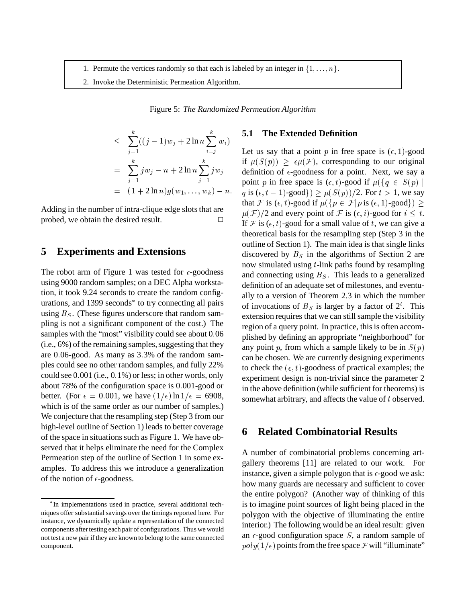- 1. Permute the vertices randomly so that each is labeled by an integer in  $\{1, \ldots, n\}$ .
- 2. Invoke the Deterministic Permeation Algorithm.

Figure 5: *The Randomized Permeation Algorithm*

$$
\leq \sum_{j=1}^{k} ((j-1)w_j + 2 \ln n \sum_{i=j}^{k} w_i)
$$
\n
$$
= \sum_{j=1}^{k} jw_j - n + 2 \ln n \sum_{j=1}^{k} jw_j
$$
\nLet us say that a p  
\n
$$
\text{Let us say that a } p
$$
\n
$$
\text{If } \mu(S(p)) \geq \epsilon \mu(
$$
\n
$$
\text{definition of } \epsilon\text{-good}
$$
\n
$$
\text{point } p \text{ in free span}
$$
\n
$$
= (1 + 2 \ln n)g(w_1, \ldots, w_k) - n. \quad q \text{ is } (\epsilon, t - 1)\text{-good}
$$

Adding in the number of intra-clique edge slots that are probed, we obtain the desired result.

### **5 Experiments and Extensions**

The robot arm of Figure 1 was tested for  $\epsilon$ -goodness using 9000 random samples; on a DEC Alpha workstation, it took 9.24 seconds to create the random configurations, and 1399 seconds<sup>\*</sup> to try connecting all pairs using  $B<sub>S</sub>$ . (These figures underscore that random sampling is not a significant component of the cost.) The samples with the "most" visibility could see about 0.06  $(i.e., 6\%)$  of the remaining samples, suggesting that they are 0 06-good. As many as 3 3% of the random samples could see no other random samples, and fully 22% could see  $0.001$  (i.e.,  $0.1\%$ ) or less; in other words, only about 78% of the configuration space is 0 001-good or better. (For  $\epsilon = 0.001$ , we have  $(1/\epsilon) \ln 1/\epsilon = 6908$ , which is of the same order as our number of samples.) We conjecture that the resampling step (Step 3 from our high-level outline of Section 1) leads to better coverage of the space in situations such as Figure 1. We have observed that it helps eliminate the need for the Complex Permeation step of the outline of Section 1 in some examples. To address this we introduce a generalization of the notion of  $\epsilon$ -goodness.

#### **5.1 The Extended Definition**

 $- n + 2 \ln n \sum j w_j$  definition of  $\epsilon$ -goodness for a point. Next, we say a 1, ...,  $w_k$ ) – n. q is  $(\epsilon, t - 1)$ -good})  $\geq \mu(S(p))/2$ . F Let us say that a point p in free space is  $(\epsilon, 1)$ -good if  $\mu(S(p)) \geq 0$  $S(p)$ )  $\geq \epsilon \mu(\mathcal{F})$ , corresponding to our original point p in free space is  $(\epsilon, t)$ -good if  $\mu({q \in S(p)})$  $q \in S(p)$ . . . . .  $S(p)/2$ . For  $t > 1$ , we say that F is  $(\epsilon, t)$ -good if  $\mu({p \in \mathcal{F} | p \text{ is } (\epsilon, 1) \text{-good}})$  $|p \text{ is } (\epsilon, 1) \text{-good} \}$ )  $\geq$  $\mu(F)/2$  and every point of F is  $(\epsilon, i)$ -good for  $i \leq t$ . If F is  $(\epsilon, t)$ -good for a small value of t, we can give a theoretical basis for the resampling step (Step 3 in the outline of Section 1). The main idea is that single links discovered by  $B<sub>S</sub>$  in the algorithms of Section 2 are now simulated using t-link paths found by resampling and connecting using  $B<sub>S</sub>$ . This leads to a generalized definition of an adequate set of milestones, and eventually to a version of Theorem 2.3 in which the number of invocations of  $B<sub>S</sub>$  is larger by a factor of  $2<sup>t</sup>$ . This extension requires that we can still sample the visibility region of a query point. In practice, this is often accomplished by defining an appropriate "neighborhood" for any point p, from which a sample likely to be in  $S(p)$ can be chosen. We are currently designing experiments to check the  $(\epsilon, t)$ -goodness of practical examples; the experiment design is non-trivial since the parameter 2 in the above definition (while sufficient for theorems) is somewhat arbitrary, and affects the value of  $t$  observed.

### **6 Related Combinatorial Results**

A number of combinatorial problems concerning artgallery theorems [11] are related to our work. For instance, given a simple polygon that is  $\epsilon$ -good we ask: how many guards are necessary and sufficient to cover the entire polygon? (Another way of thinking of this is to imagine point sources of light being placed in the polygon with the objective of illuminating the entire interior.) The following would be an ideal result: given an  $\epsilon$ -good configuration space S, a random sample of  $poly(1/\epsilon)$  poin  $(1/\epsilon)$  points from the free space  $\mathcal F$  will "illuminate"

<sup>\*</sup>In implementations used in practice, several additional techniques offer substantial savings over the timings reported here. For instance, we dynamically update a representation of the connected components after testing each pair of configurations. Thus we would not test a new pair if they are known to belong to the same connected component.